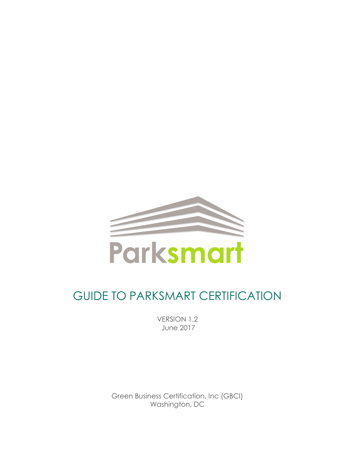

# GUIDE TO PARKSMART CERTIFICATION

VERSION 1.2 June 2017

Green Business Certification, Inc (GBCI) Washington, DC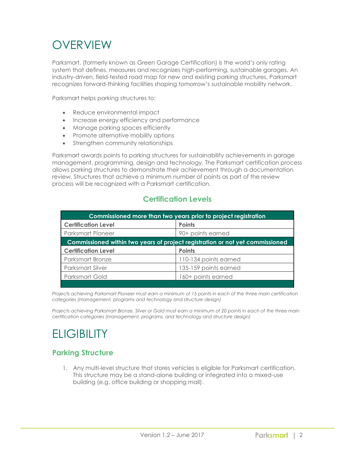## **OVERVIEW**

Parksmart, (formerly known as Green Garage Certification) is the world's only rating system that defines, measures and recognizes high-performing, sustainable garages. An industry-driven, field-tested road map for new and existing parking structures, Parksmart recognizes forward-thinking facilities shaping tomorrow's sustainable mobility network.

Parksmart helps parking structures to:

- Reduce environmental impact
- Increase energy efficiency and performance
- Manage parking spaces efficiently
- Promote alternative mobility options
- Strengthen community relationships

Parksmart awards points to parking structures for sustainability achievements in garage management, programming, design and technology. The Parksmart certification process allows parking structures to demonstrate their achievement through a documentation review. Structures that achieve a minimum number of points as part of the review process will be recognized with a Parksmart certification.

#### **Certification Levels**

| Commissioned more than two years prior to project registration                |                       |  |
|-------------------------------------------------------------------------------|-----------------------|--|
| <b>Certification Level</b>                                                    | <b>Points</b>         |  |
| <b>Parksmart Pioneer</b>                                                      | 90+ points earned     |  |
| Commissioned within two years of project registration or not yet commissioned |                       |  |
| <b>Certification Level</b>                                                    | <b>Points</b>         |  |
| <b>Parksmart Bronze</b>                                                       | 110-134 points earned |  |
| Parksmart Silver                                                              | 135-159 points earned |  |
| Parksmart Gold                                                                | 160+ points earned    |  |
|                                                                               |                       |  |

*Projects achieving Parksmart Pioneer must earn a minimum of 15 points in each of the three main certification categories (management, programs and technology and structure design)*

*Projects achieving Parksmart Bronze, Silver or Gold must earn a minimum of 20 points in each of the three main certification categories (management, programs, and technology and structure design)*

## **ELIGIBILITY**

#### **Parking Structure**

1. Any multi-level structure that stores vehicles is eligible for Parksmart certification. This structure may be a stand-alone building or integrated into a mixed-use building (e.g. office building or shopping mall).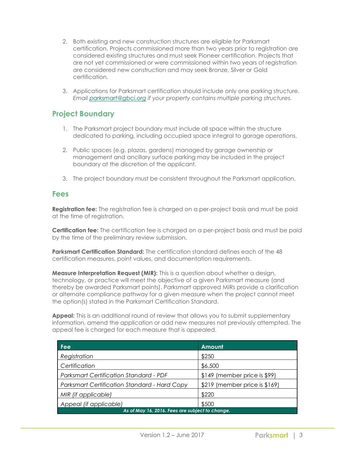- 2. Both existing and new construction structures are eligible for Parksmart certification. Projects commissioned more than two years prior to registration are considered existing structures and must seek Pioneer certification. Projects that are not yet commissioned or were commissioned within two years of registration are considered new construction and may seek Bronze, Silver or Gold certification.
- 3. Applications for Parksmart certification should include only one parking structure. *Email [parksmart@gbci.org](mailto:parksmart@gbci.org) if your property contains multiple parking structures.*

#### **Project Boundary**

- 1. The Parksmart project boundary must include all space within the structure dedicated to parking, including occupied space integral to garage operations.
- 2. Public spaces (e.g. plazas, gardens) managed by garage ownership or management and ancillary surface parking may be included in the project boundary at the discretion of the applicant.
- 3. The project boundary must be consistent throughout the Parksmart application.

#### **Fees**

**Registration fee:** The registration fee is charged on a per-project basis and must be paid at the time of registration.

**Certification fee:** The certification fee is charged on a per-project basis and must be paid by the time of the preliminary review submission.

**Parksmart Certification Standard:** The certification standard defines each of the 48 certification measures, point values, and documentation requirements.

**Measure Interpretation Request (MIR):** This is a question about whether a design, technology, or practice will meet the objective of a given Parksmart measure (and thereby be awarded Parksmart points). Parksmart approved MIRs provide a clarification or alternate compliance pathway for a given measure when the project cannot meet the option(s) stated in the Parksmart Certification Standard.

Appeal: This is an additional round of review that allows you to submit supplementary information, amend the application or add new measures not previously attempted. The appeal fee is charged for each measure that is appealed.

| Fee                                                 | Amount                        |  |
|-----------------------------------------------------|-------------------------------|--|
| Registration                                        | \$250                         |  |
| Certification                                       | \$6,500                       |  |
| <b>Parksmart Certification Standard - PDF</b>       | $$149$ (member price is \$99) |  |
| <b>Parksmart Certification Standard - Hard Copy</b> | \$219 (member price is \$169) |  |
| MIR (if applicable)                                 | \$220                         |  |
| Appeal (if applicable)                              | \$500                         |  |
| As of May 16, 2016. Fees are subject to change.     |                               |  |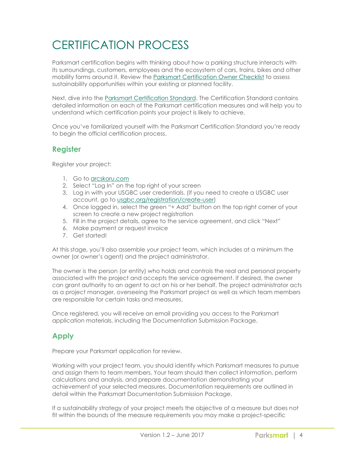# CERTIFICATION PROCESS

Parksmart certification begins with thinking about how a parking structure interacts with its surroundings, customers, employees and the ecosystem of cars, trains, bikes and other mobility forms around it. Review the [Parksmart Certification Owner Checklist](http://parksmart.gbci.org/sites/default/files/Parksmart-Owner-Checklist.pdf) to assess sustainability opportunities within your existing or planned facility.

Next, dive into the [Parksmart Certification Standard.](http://www.usgbc.org/resources/parksmart-certification-standard) The Certification Standard contains detailed information on each of the Parksmart certification measures and will help you to understand which certification points your project is likely to achieve.

Once you've familiarized yourself with the Parksmart Certification Standard you're ready to begin the official certification process.

#### **Register**

Register your project:

- 1. Go to [arcskoru.com](http://arcskoru.com/)
- 2. Select "Log In" on the top right of your screen
- 3. Log in with your USGBC user credentials. (If you need to create a USGBC user account, go to [usgbc.org/registration/create-user\)](http://www.usgbc.org/registration/create-user)
- 4. Once logged in, select the green "+ Add" button on the top right corner of your screen to create a new project registration
- 5. Fill in the project details, agree to the service agreement, and click "Next"
- 6. Make payment or request invoice
- 7. Get started!

At this stage, you'll also assemble your project team, which includes at a minimum the owner (or owner's agent) and the project administrator.

The owner is the person (or entity) who holds and controls the real and personal property associated with the project and accepts the service agreement. If desired, the owner can grant authority to an agent to act on his or her behalf. The project administrator acts as a project manager, overseeing the Parksmart project as well as which team members are responsible for certain tasks and measures.

Once registered, you will receive an email providing you access to the Parksmart application materials, including the Documentation Submission Package.

### **Apply**

Prepare your Parksmart application for review.

Working with your project team, you should identify which Parksmart measures to pursue and assign them to team members. Your team should then collect information, perform calculations and analysis, and prepare documentation demonstrating your achievement of your selected measures. Documentation requirements are outlined in detail within the Parksmart Documentation Submission Package.

If a sustainability strategy of your project meets the objective of a measure but does not fit within the bounds of the measure requirements you may make a project-specific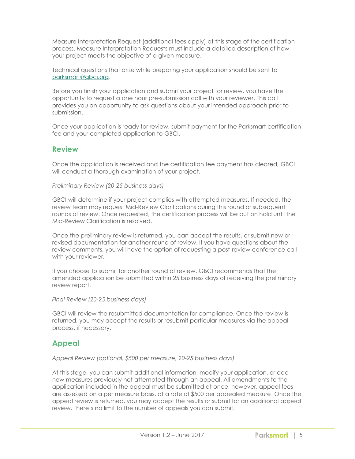Measure Interpretation Request (additional fees apply) at this stage of the certification process. Measure Interpretation Requests must include a detailed description of how your project meets the objective of a given measure.

Technical questions that arise while preparing your application should be sent to [parksmart@gbci.org.](mailto:parksmart@gbci.org)

Before you finish your application and submit your project for review, you have the opportunity to request a one hour pre-submission call with your reviewer. This call provides you an opportunity to ask questions about your intended approach prior to submission.

Once your application is ready for review, submit payment for the Parksmart certification fee and your completed application to GBCI.

#### **Review**

Once the application is received and the certification fee payment has cleared, GBCI will conduct a thorough examination of your project.

*Preliminary Review (20-25 business days)*

GBCI will determine if your project complies with attempted measures. If needed, the review team may request Mid-Review Clarifications during this round or subsequent rounds of review. Once requested, the certification process will be put on hold until the Mid-Review Clarification is resolved.

Once the preliminary review is returned, you can accept the results, or submit new or revised documentation for another round of review. If you have questions about the review comments, you will have the option of requesting a post-review conference call with your reviewer.

If you choose to submit for another round of review, GBCI recommends that the amended application be submitted within 25 business days of receiving the preliminary review report.

*Final Review (20-25 business days)*

GBCI will review the resubmitted documentation for compliance. Once the review is returned, you may accept the results or resubmit particular measures via the appeal process, if necessary.

#### **Appeal**

*Appeal Review (optional, \$500 per measure, 20-25 business days)*

At this stage, you can submit additional information, modify your application, or add new measures previously not attempted through an appeal. All amendments to the application included in the appeal must be submitted at once, however, appeal fees are assessed on a per measure basis, at a rate of \$500 per appealed measure. Once the appeal review is returned, you may accept the results or submit for an additional appeal review. There's no limit to the number of appeals you can submit.